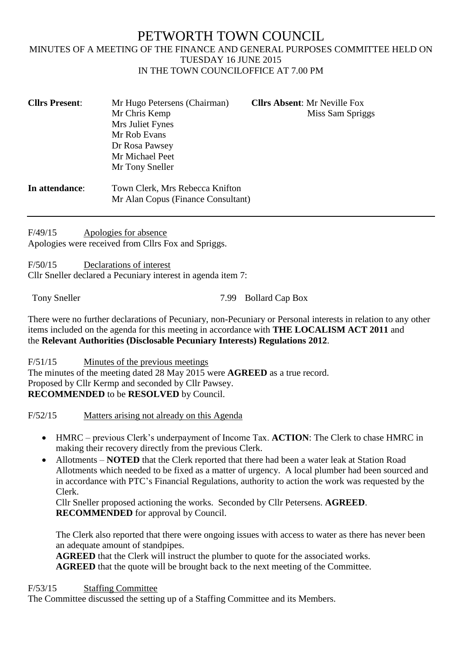# PETWORTH TOWN COUNCIL MINUTES OF A MEETING OF THE FINANCE AND GENERAL PURPOSES COMMITTEE HELD ON TUESDAY 16 JUNE 2015 IN THE TOWN COUNCILOFFICE AT 7.00 PM

| <b>Cllrs Present:</b> | Mr Hugo Petersens (Chairman)       | <b>Cllrs Absent: Mr Neville Fox</b> |  |  |
|-----------------------|------------------------------------|-------------------------------------|--|--|
|                       | Mr Chris Kemp                      | Miss Sam Spriggs                    |  |  |
|                       | Mrs Juliet Fynes                   |                                     |  |  |
|                       | Mr Rob Evans                       |                                     |  |  |
|                       | Dr Rosa Pawsey                     |                                     |  |  |
|                       | Mr Michael Peet                    |                                     |  |  |
|                       | Mr Tony Sneller                    |                                     |  |  |
| In attendance:        | Town Clerk, Mrs Rebecca Knifton    |                                     |  |  |
|                       | Mr Alan Copus (Finance Consultant) |                                     |  |  |

F/49/15 Apologies for absence Apologies were received from Cllrs Fox and Spriggs.

F/50/15 Declarations of interest Cllr Sneller declared a Pecuniary interest in agenda item 7:

Tony Sneller 7.99 Bollard Cap Box

There were no further declarations of Pecuniary, non-Pecuniary or Personal interests in relation to any other items included on the agenda for this meeting in accordance with **THE LOCALISM ACT 2011** and the **Relevant Authorities (Disclosable Pecuniary Interests) Regulations 2012**.

F/51/15 Minutes of the previous meetings The minutes of the meeting dated 28 May 2015 were **AGREED** as a true record. Proposed by Cllr Kermp and seconded by Cllr Pawsey. **RECOMMENDED** to be **RESOLVED** by Council.

F/52/15 Matters arising not already on this Agenda

- HMRC previous Clerk's underpayment of Income Tax. **ACTION**: The Clerk to chase HMRC in making their recovery directly from the previous Clerk.
- Allotments **NOTED** that the Clerk reported that there had been a water leak at Station Road Allotments which needed to be fixed as a matter of urgency. A local plumber had been sourced and in accordance with PTC's Financial Regulations, authority to action the work was requested by the Clerk.

Cllr Sneller proposed actioning the works. Seconded by Cllr Petersens. **AGREED**. **RECOMMENDED** for approval by Council.

The Clerk also reported that there were ongoing issues with access to water as there has never been an adequate amount of standpipes.

**AGREED** that the Clerk will instruct the plumber to quote for the associated works.

**AGREED** that the quote will be brought back to the next meeting of the Committee.

F/53/15 Staffing Committee

The Committee discussed the setting up of a Staffing Committee and its Members.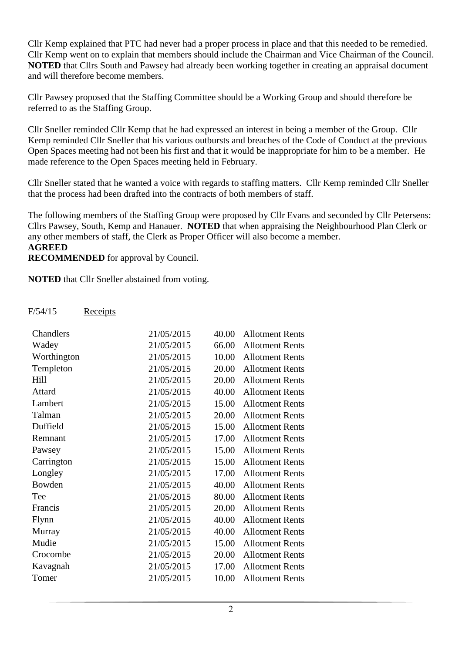Cllr Kemp explained that PTC had never had a proper process in place and that this needed to be remedied. Cllr Kemp went on to explain that members should include the Chairman and Vice Chairman of the Council. **NOTED** that Cllrs South and Pawsey had already been working together in creating an appraisal document and will therefore become members.

Cllr Pawsey proposed that the Staffing Committee should be a Working Group and should therefore be referred to as the Staffing Group.

Cllr Sneller reminded Cllr Kemp that he had expressed an interest in being a member of the Group. Cllr Kemp reminded Cllr Sneller that his various outbursts and breaches of the Code of Conduct at the previous Open Spaces meeting had not been his first and that it would be inappropriate for him to be a member. He made reference to the Open Spaces meeting held in February.

Cllr Sneller stated that he wanted a voice with regards to staffing matters. Cllr Kemp reminded Cllr Sneller that the process had been drafted into the contracts of both members of staff.

The following members of the Staffing Group were proposed by Cllr Evans and seconded by Cllr Petersens: Cllrs Pawsey, South, Kemp and Hanauer. **NOTED** that when appraising the Neighbourhood Plan Clerk or any other members of staff, the Clerk as Proper Officer will also become a member. **AGREED**

**RECOMMENDED** for approval by Council.

**NOTED** that Cllr Sneller abstained from voting.

### F/54/15 Receipts

| Chandlers   | 21/05/2015 | 40.00 | <b>Allotment Rents</b> |
|-------------|------------|-------|------------------------|
| Wadey       | 21/05/2015 | 66.00 | <b>Allotment Rents</b> |
| Worthington | 21/05/2015 | 10.00 | <b>Allotment Rents</b> |
| Templeton   | 21/05/2015 | 20.00 | <b>Allotment Rents</b> |
| Hill        | 21/05/2015 | 20.00 | <b>Allotment Rents</b> |
| Attard      | 21/05/2015 | 40.00 | <b>Allotment Rents</b> |
| Lambert     | 21/05/2015 | 15.00 | <b>Allotment Rents</b> |
| Talman      | 21/05/2015 | 20.00 | <b>Allotment Rents</b> |
| Duffield    | 21/05/2015 | 15.00 | <b>Allotment Rents</b> |
| Remnant     | 21/05/2015 | 17.00 | <b>Allotment Rents</b> |
| Pawsey      | 21/05/2015 | 15.00 | <b>Allotment Rents</b> |
| Carrington  | 21/05/2015 | 15.00 | <b>Allotment Rents</b> |
| Longley     | 21/05/2015 | 17.00 | <b>Allotment Rents</b> |
| Bowden      | 21/05/2015 | 40.00 | <b>Allotment Rents</b> |
| Tee         | 21/05/2015 | 80.00 | <b>Allotment Rents</b> |
| Francis     | 21/05/2015 | 20.00 | <b>Allotment Rents</b> |
| Flynn       | 21/05/2015 | 40.00 | <b>Allotment Rents</b> |
| Murray      | 21/05/2015 | 40.00 | <b>Allotment Rents</b> |
| Mudie       | 21/05/2015 | 15.00 | <b>Allotment Rents</b> |
| Crocombe    | 21/05/2015 | 20.00 | <b>Allotment Rents</b> |
| Kavagnah    | 21/05/2015 | 17.00 | <b>Allotment Rents</b> |
| Tomer       | 21/05/2015 | 10.00 | <b>Allotment Rents</b> |
|             |            |       |                        |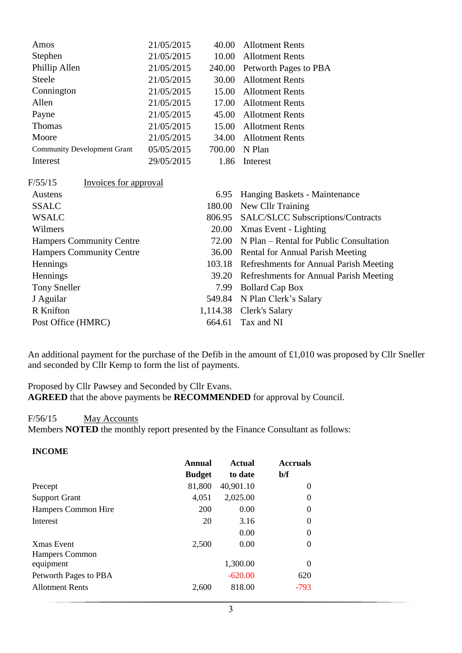| Amos                               | 21/05/2015 | 40.00    | <b>Allotment Rents</b>                   |
|------------------------------------|------------|----------|------------------------------------------|
| Stephen                            | 21/05/2015 | 10.00    | <b>Allotment Rents</b>                   |
| Phillip Allen                      | 21/05/2015 | 240.00   | Petworth Pages to PBA                    |
| <b>Steele</b>                      | 21/05/2015 | 30.00    | <b>Allotment Rents</b>                   |
| Connington                         | 21/05/2015 | 15.00    | <b>Allotment Rents</b>                   |
| Allen                              | 21/05/2015 | 17.00    | <b>Allotment Rents</b>                   |
| Payne                              | 21/05/2015 | 45.00    | <b>Allotment Rents</b>                   |
| Thomas                             | 21/05/2015 | 15.00    | <b>Allotment Rents</b>                   |
| Moore                              | 21/05/2015 | 34.00    | <b>Allotment Rents</b>                   |
| <b>Community Development Grant</b> | 05/05/2015 | 700.00   | N Plan                                   |
| Interest                           | 29/05/2015 | 1.86     | Interest                                 |
| F/55/15<br>Invoices for approval   |            |          |                                          |
| Austens                            |            | 6.95     | Hanging Baskets - Maintenance            |
| <b>SSALC</b>                       |            | 180.00   | New Cllr Training                        |
| <b>WSALC</b>                       |            | 806.95   | <b>SALC/SLCC Subscriptions/Contracts</b> |
| Wilmers                            |            |          | 20.00 Xmas Event - Lighting              |
| <b>Hampers Community Centre</b>    |            | 72.00    | N Plan – Rental for Public Consultation  |
| <b>Hampers Community Centre</b>    |            | 36.00    | <b>Rental for Annual Parish Meeting</b>  |
| Hennings                           |            | 103.18   | Refreshments for Annual Parish Meeting   |
| Hennings                           |            | 39.20    | Refreshments for Annual Parish Meeting   |
| <b>Tony Sneller</b>                |            | 7.99     | <b>Bollard Cap Box</b>                   |
| J Aguilar                          |            | 549.84   | N Plan Clerk's Salary                    |
| R Knifton                          |            | 1,114.38 | <b>Clerk's Salary</b>                    |
| Post Office (HMRC)                 |            | 664.61   | Tax and NI                               |
|                                    |            |          |                                          |

An additional payment for the purchase of the Defib in the amount of £1,010 was proposed by Cllr Sneller and seconded by Cllr Kemp to form the list of payments.

Proposed by Cllr Pawsey and Seconded by Cllr Evans. **AGREED** that the above payments be **RECOMMENDED** for approval by Council.

### F/56/15 May Accounts

**INCOME**

Members **NOTED** the monthly report presented by the Finance Consultant as follows:

| Annual        | <b>Actual</b> | <b>Accruals</b> |
|---------------|---------------|-----------------|
| <b>Budget</b> | to date       | b/f             |
| 81,800        | 40,901.10     | $\theta$        |
| 4,051         | 2,025.00      | 0               |
| 200           | 0.00          | 0               |
| 20            | 3.16          | 0               |
|               | 0.00          | 0               |
| 2,500         | 0.00          | 0               |
|               |               |                 |
|               | 1,300.00      | 0               |
|               | $-620.00$     | 620             |
| 2,600         | 818.00        | $-793$          |
|               |               |                 |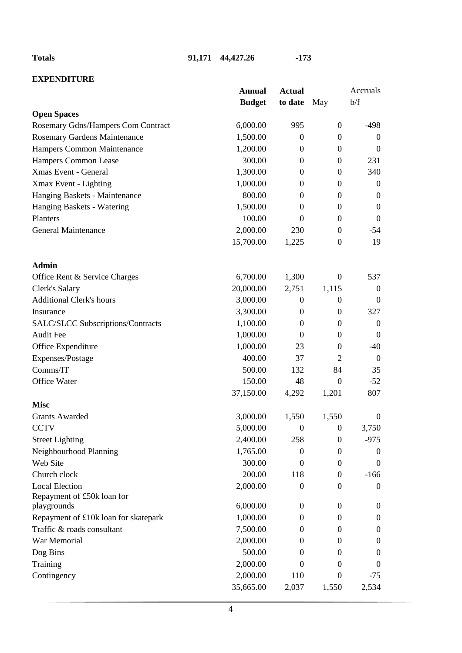**Totals 91,171 44,427.26 -173**

# **EXPENDITURE**

|                                          | <b>Annual</b> | <b>Actual</b>    |                  | Accruals         |
|------------------------------------------|---------------|------------------|------------------|------------------|
|                                          | <b>Budget</b> | to date          | May              | b/f              |
| <b>Open Spaces</b>                       |               |                  |                  |                  |
| Rosemary Gdns/Hampers Com Contract       | 6,000.00      | 995              | $\mathbf{0}$     | $-498$           |
| <b>Rosemary Gardens Maintenance</b>      | 1,500.00      | $\boldsymbol{0}$ | $\boldsymbol{0}$ | $\boldsymbol{0}$ |
| Hampers Common Maintenance               | 1,200.00      | $\Omega$         | $\theta$         | $\boldsymbol{0}$ |
| Hampers Common Lease                     | 300.00        | $\mathbf{0}$     | $\boldsymbol{0}$ | 231              |
| Xmas Event - General                     | 1,300.00      | $\mathbf{0}$     | $\mathbf{0}$     | 340              |
| Xmax Event - Lighting                    | 1,000.00      | $\mathbf{0}$     | $\mathbf{0}$     | $\boldsymbol{0}$ |
| Hanging Baskets - Maintenance            | 800.00        | $\theta$         | $\mathbf{0}$     | $\boldsymbol{0}$ |
| Hanging Baskets - Watering               | 1,500.00      | $\boldsymbol{0}$ | $\boldsymbol{0}$ | $\boldsymbol{0}$ |
| Planters                                 | 100.00        | $\Omega$         | $\mathbf{0}$     | $\boldsymbol{0}$ |
| <b>General Maintenance</b>               | 2,000.00      | 230              | $\boldsymbol{0}$ | $-54$            |
|                                          | 15,700.00     | 1,225            | $\mathbf{0}$     | 19               |
| <b>Admin</b>                             |               |                  |                  |                  |
| Office Rent & Service Charges            | 6,700.00      | 1,300            | $\overline{0}$   | 537              |
| <b>Clerk's Salary</b>                    | 20,000.00     | 2,751            | 1,115            | $\boldsymbol{0}$ |
| <b>Additional Clerk's hours</b>          | 3,000.00      | $\boldsymbol{0}$ | $\boldsymbol{0}$ | $\boldsymbol{0}$ |
| Insurance                                | 3,300.00      | $\mathbf{0}$     | $\mathbf{0}$     | 327              |
| <b>SALC/SLCC Subscriptions/Contracts</b> | 1,100.00      | $\theta$         | $\overline{0}$   | $\boldsymbol{0}$ |
| <b>Audit Fee</b>                         | 1,000.00      | $\Omega$         | $\theta$         | $\boldsymbol{0}$ |
| Office Expenditure                       | 1,000.00      | 23               | $\mathbf{0}$     | $-40$            |
| Expenses/Postage                         | 400.00        | 37               | $\overline{2}$   | $\boldsymbol{0}$ |
| Comms/IT                                 | 500.00        | 132              | 84               | 35               |
| Office Water                             | 150.00        | 48               | $\mathbf{0}$     | $-52$            |
|                                          | 37,150.00     | 4,292            | 1,201            | 807              |
| <b>Misc</b>                              |               |                  |                  |                  |
| <b>Grants Awarded</b>                    | 3,000.00      | 1,550            | 1,550            | $\boldsymbol{0}$ |
| <b>CCTV</b>                              | 5,000.00      | $\boldsymbol{0}$ | $\boldsymbol{0}$ | 3,750            |
| <b>Street Lighting</b>                   | 2,400.00      | 258              | $\boldsymbol{0}$ | $-975$           |
| Neighbourhood Planning                   | 1,765.00      | $\Omega$         | $\Omega$         | 0                |
| Web Site                                 | 300.00        | $\theta$         | $\overline{0}$   | $\boldsymbol{0}$ |
| Church clock                             | 200.00        | 118              | $\boldsymbol{0}$ | $-166$           |
| <b>Local Election</b>                    | 2,000.00      | $\overline{0}$   | $\boldsymbol{0}$ | 0                |
| Repayment of £50k loan for               |               |                  |                  |                  |
| playgrounds                              | 6,000.00      | $\theta$         | $\overline{0}$   | 0                |
| Repayment of £10k loan for skatepark     | 1,000.00      | $\theta$         | $\theta$         | 0                |
| Traffic & roads consultant               | 7,500.00      | $\Omega$         | $\overline{0}$   | $\boldsymbol{0}$ |
| War Memorial                             | 2,000.00      | $\Omega$         | $\Omega$         | 0                |
| Dog Bins                                 | 500.00        | $\Omega$         | $\Omega$         | 0                |
| Training                                 | 2,000.00      | $\theta$         | $\Omega$         | $\Omega$         |
| Contingency                              | 2,000.00      | 110              | $\boldsymbol{0}$ | $-75$            |
|                                          | 35,665.00     | 2,037            | 1,550            | 2,534            |